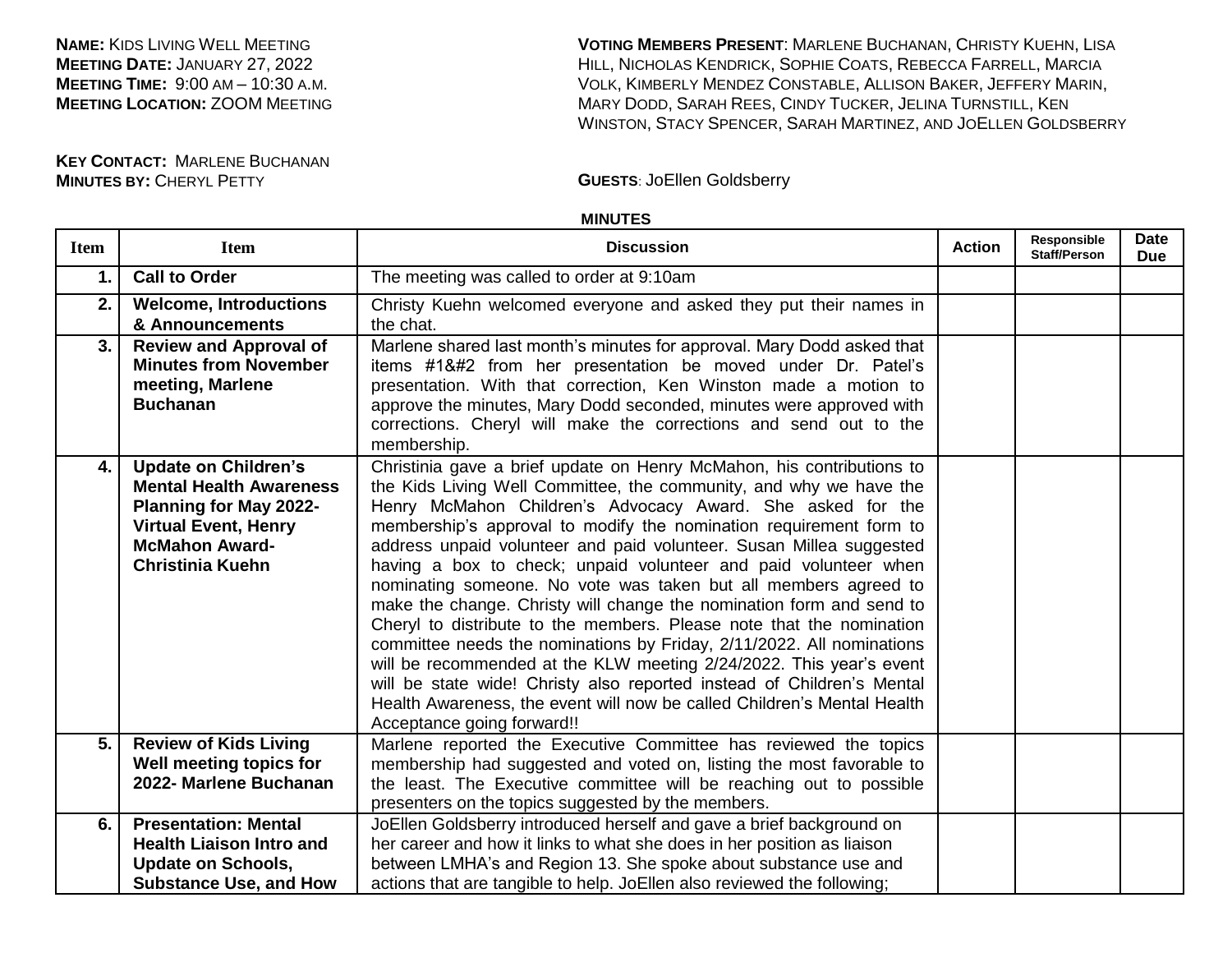**NAME:** KIDS LIVING WELL MEETING **MEETING DATE:** JANUARY 27, 2022 **MEETING TIME:** 9:00 AM – 10:30 A.M. **MEETING LOCATION:** ZOOM MEETING **VOTING MEMBERS PRESENT**: MARLENE BUCHANAN, CHRISTY KUEHN, LISA HILL, NICHOLAS KENDRICK, SOPHIE COATS, REBECCA FARRELL, MARCIA VOLK, KIMBERLY MENDEZ CONSTABLE, ALLISON BAKER, JEFFERY MARIN, MARY DODD, SARAH REES, CINDY TUCKER, JELINA TURNSTILL, KEN WINSTON, STACY SPENCER, SARAH MARTINEZ, AND JOELLEN GOLDSBERRY

**KEY CONTACT:** MARLENE BUCHANAN **MINUTES BY:** CHERYL PETTY **GUESTS**: JoEllen Goldsberry

## **MINUTES**

| <b>Item</b> | <b>Item</b>                                                                                                                                                                       | <b>Discussion</b>                                                                                                                                                                                                                                                                                                                                                                                                                                                                                                                                                                                                                                                                                                                                                                                                                                                                                                                                                               | <b>Action</b> | Responsible<br><b>Staff/Person</b> | <b>Date</b><br><b>Due</b> |
|-------------|-----------------------------------------------------------------------------------------------------------------------------------------------------------------------------------|---------------------------------------------------------------------------------------------------------------------------------------------------------------------------------------------------------------------------------------------------------------------------------------------------------------------------------------------------------------------------------------------------------------------------------------------------------------------------------------------------------------------------------------------------------------------------------------------------------------------------------------------------------------------------------------------------------------------------------------------------------------------------------------------------------------------------------------------------------------------------------------------------------------------------------------------------------------------------------|---------------|------------------------------------|---------------------------|
| $\mathbf 1$ | <b>Call to Order</b>                                                                                                                                                              | The meeting was called to order at 9:10am                                                                                                                                                                                                                                                                                                                                                                                                                                                                                                                                                                                                                                                                                                                                                                                                                                                                                                                                       |               |                                    |                           |
| 2.          | <b>Welcome, Introductions</b><br>& Announcements                                                                                                                                  | Christy Kuehn welcomed everyone and asked they put their names in<br>the chat.                                                                                                                                                                                                                                                                                                                                                                                                                                                                                                                                                                                                                                                                                                                                                                                                                                                                                                  |               |                                    |                           |
| 3.          | <b>Review and Approval of</b><br><b>Minutes from November</b><br>meeting, Marlene<br><b>Buchanan</b>                                                                              | Marlene shared last month's minutes for approval. Mary Dodd asked that<br>items #1 from her presentation be moved under Dr. Patel's<br>presentation. With that correction, Ken Winston made a motion to<br>approve the minutes, Mary Dodd seconded, minutes were approved with<br>corrections. Cheryl will make the corrections and send out to the<br>membership.                                                                                                                                                                                                                                                                                                                                                                                                                                                                                                                                                                                                             |               |                                    |                           |
| 4.          | <b>Update on Children's</b><br><b>Mental Health Awareness</b><br><b>Planning for May 2022-</b><br><b>Virtual Event, Henry</b><br><b>McMahon Award-</b><br><b>Christinia Kuehn</b> | Christinia gave a brief update on Henry McMahon, his contributions to<br>the Kids Living Well Committee, the community, and why we have the<br>Henry McMahon Children's Advocacy Award. She asked for the<br>membership's approval to modify the nomination requirement form to<br>address unpaid volunteer and paid volunteer. Susan Millea suggested<br>having a box to check; unpaid volunteer and paid volunteer when<br>nominating someone. No vote was taken but all members agreed to<br>make the change. Christy will change the nomination form and send to<br>Cheryl to distribute to the members. Please note that the nomination<br>committee needs the nominations by Friday, 2/11/2022. All nominations<br>will be recommended at the KLW meeting 2/24/2022. This year's event<br>will be state wide! Christy also reported instead of Children's Mental<br>Health Awareness, the event will now be called Children's Mental Health<br>Acceptance going forward!! |               |                                    |                           |
| 5.          | <b>Review of Kids Living</b><br>Well meeting topics for<br>2022- Marlene Buchanan                                                                                                 | Marlene reported the Executive Committee has reviewed the topics<br>membership had suggested and voted on, listing the most favorable to<br>the least. The Executive committee will be reaching out to possible<br>presenters on the topics suggested by the members.                                                                                                                                                                                                                                                                                                                                                                                                                                                                                                                                                                                                                                                                                                           |               |                                    |                           |
| 6.          | <b>Presentation: Mental</b><br><b>Health Liaison Intro and</b><br><b>Update on Schools,</b><br><b>Substance Use, and How</b>                                                      | JoEllen Goldsberry introduced herself and gave a brief background on<br>her career and how it links to what she does in her position as liaison<br>between LMHA's and Region 13. She spoke about substance use and<br>actions that are tangible to help. JoEllen also reviewed the following;                                                                                                                                                                                                                                                                                                                                                                                                                                                                                                                                                                                                                                                                                   |               |                                    |                           |